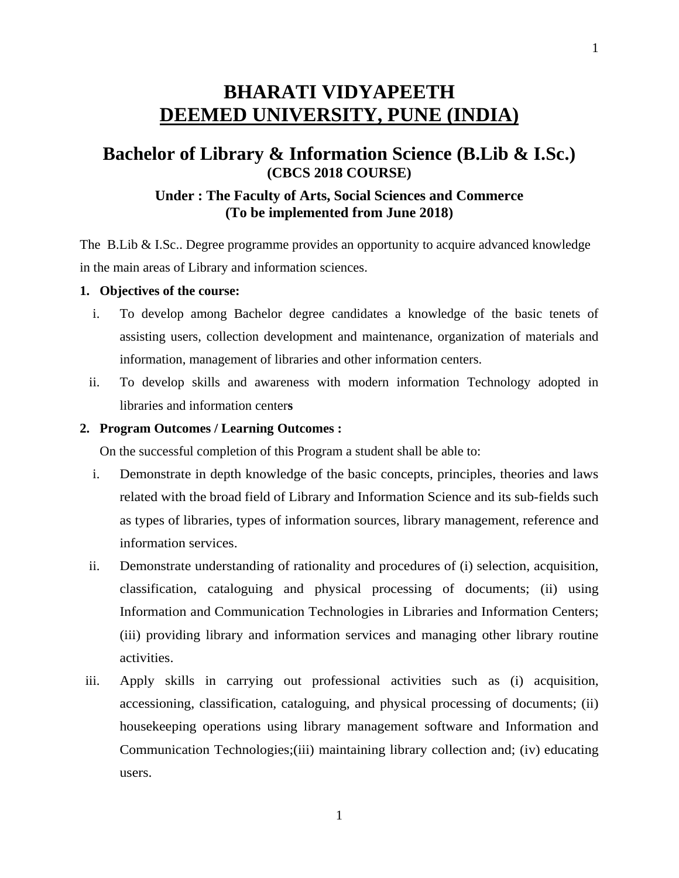# **BHARATI VIDYAPEETH DEEMED UNIVERSITY, PUNE (INDIA)**

# **Bachelor of Library & Information Science (B.Lib & I.Sc.) (CBCS 2018 COURSE)**

# **Under : The Faculty of Arts, Social Sciences and Commerce (To be implemented from June 2018)**

The B.Lib & I.Sc.. Degree programme provides an opportunity to acquire advanced knowledge in the main areas of Library and information sciences.

#### **1. Objectives of the course:**

- i. To develop among Bachelor degree candidates a knowledge of the basic tenets of assisting users, collection development and maintenance, organization of materials and information, management of libraries and other information centers.
- ii. To develop skills and awareness with modern information Technology adopted in libraries and information center**s**

#### **2. Program Outcomes / Learning Outcomes :**

On the successful completion of this Program a student shall be able to:

- i. Demonstrate in depth knowledge of the basic concepts, principles, theories and laws related with the broad field of Library and Information Science and its sub-fields such as types of libraries, types of information sources, library management, reference and information services.
- ii. Demonstrate understanding of rationality and procedures of (i) selection, acquisition, classification, cataloguing and physical processing of documents; (ii) using Information and Communication Technologies in Libraries and Information Centers; (iii) providing library and information services and managing other library routine activities.
- iii. Apply skills in carrying out professional activities such as (i) acquisition, accessioning, classification, cataloguing, and physical processing of documents; (ii) housekeeping operations using library management software and Information and Communication Technologies;(iii) maintaining library collection and; (iv) educating users.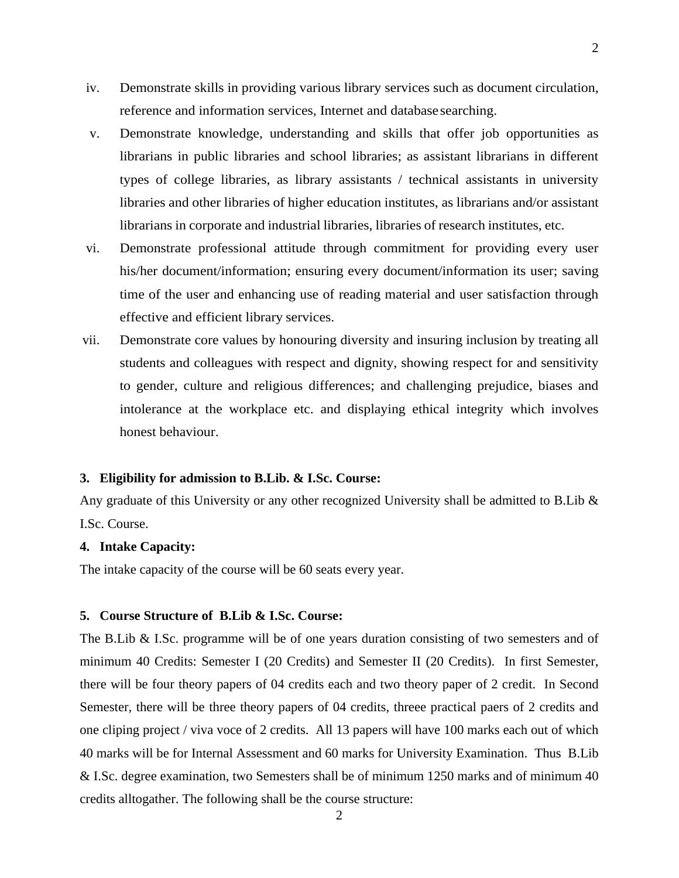- iv. Demonstrate skills in providing various library services such as document circulation, reference and information services, Internet and database searching.
- v. Demonstrate knowledge, understanding and skills that offer job opportunities as librarians in public libraries and school libraries; as assistant librarians in different types of college libraries, as library assistants / technical assistants in university libraries and other libraries of higher education institutes, as librarians and/or assistant librarians in corporate and industrial libraries, libraries of research institutes, etc.
- vi. Demonstrate professional attitude through commitment for providing every user his/her document/information; ensuring every document/information its user; saving time of the user and enhancing use of reading material and user satisfaction through effective and efficient library services.
- vii. Demonstrate core values by honouring diversity and insuring inclusion by treating all students and colleagues with respect and dignity, showing respect for and sensitivity to gender, culture and religious differences; and challenging prejudice, biases and intolerance at the workplace etc. and displaying ethical integrity which involves honest behaviour.

#### **3. Eligibility for admission to B.Lib. & I.Sc. Course:**

Any graduate of this University or any other recognized University shall be admitted to B.Lib  $\&$ I.Sc. Course.

#### **4. Intake Capacity:**

The intake capacity of the course will be 60 seats every year.

#### **5. Course Structure of B.Lib & I.Sc. Course:**

The B.Lib & I.Sc. programme will be of one years duration consisting of two semesters and of minimum 40 Credits: Semester I (20 Credits) and Semester II (20 Credits). In first Semester, there will be four theory papers of 04 credits each and two theory paper of 2 credit. In Second Semester, there will be three theory papers of 04 credits, threee practical paers of 2 credits and one cliping project / viva voce of 2 credits. All 13 papers will have 100 marks each out of which 40 marks will be for Internal Assessment and 60 marks for University Examination. Thus B.Lib & I.Sc. degree examination, two Semesters shall be of minimum 1250 marks and of minimum 40 credits alltogather. The following shall be the course structure: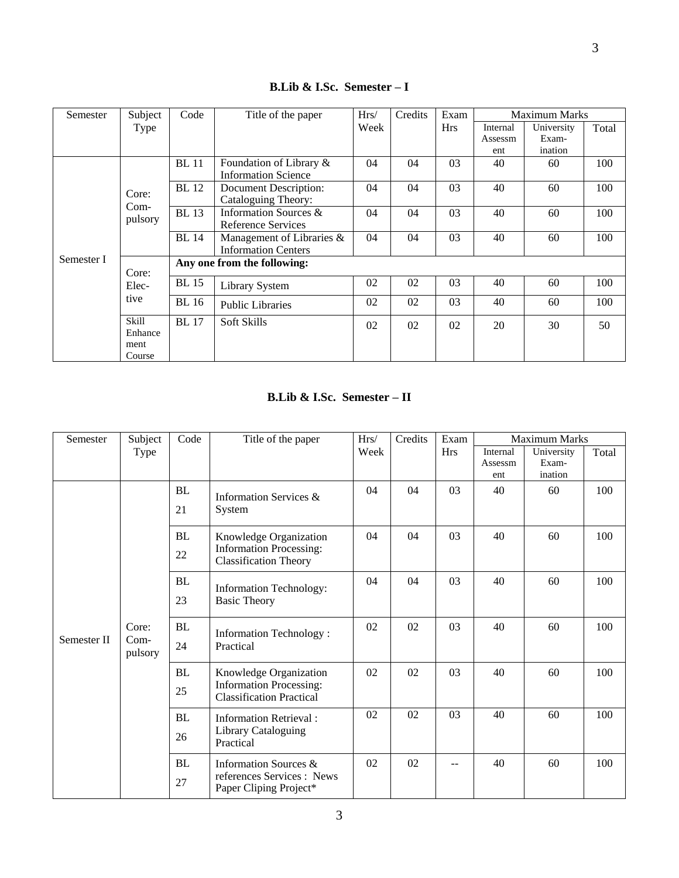| Semester   | Subject                    | Code<br>Title of the paper  |                              | Hrs/<br>Credits |    | Exam       |          | <b>Maximum Marks</b> |       |  |
|------------|----------------------------|-----------------------------|------------------------------|-----------------|----|------------|----------|----------------------|-------|--|
|            | Type                       |                             |                              | Week            |    | <b>Hrs</b> | Internal | University           | Total |  |
|            |                            |                             |                              |                 |    |            | Assessm  | Exam-                |       |  |
|            |                            |                             |                              |                 |    |            | ent      | ination              |       |  |
|            |                            | <b>BL</b> 11                | Foundation of Library &      | 04              | 04 | 03         | 40       | 60                   | 100   |  |
|            |                            |                             | <b>Information Science</b>   |                 |    |            |          |                      |       |  |
|            |                            | <b>BL</b> 12                | Document Description:        | 04              | 04 | 03         | 40       | 60                   | 100   |  |
|            | Core:<br>$Com-$<br>pulsory |                             | Cataloguing Theory:          |                 |    |            |          |                      |       |  |
|            |                            | <b>BL</b> 13                | Information Sources &        | 04              | 04 | 03         | 40       | 60                   | 100   |  |
|            |                            |                             | Reference Services           |                 |    |            |          |                      |       |  |
|            |                            | <b>BL</b> 14                | Management of Libraries $\&$ | 04              | 04 | 03         | 40       | 60                   | 100   |  |
|            |                            |                             | <b>Information Centers</b>   |                 |    |            |          |                      |       |  |
| Semester I | Core:<br>Elec-             | Any one from the following: |                              |                 |    |            |          |                      |       |  |
|            |                            |                             |                              |                 |    |            |          |                      |       |  |
|            |                            | <b>BL</b> 15                | <b>Library System</b>        | 02              | 02 | 03         | 40       | 60                   | 100   |  |
|            | tive                       | <b>BL</b> 16                | <b>Public Libraries</b>      | 02              | 02 | 03         | 40       | 60                   | 100   |  |
|            |                            |                             |                              |                 |    |            |          |                      |       |  |
|            | Skill                      | <b>BL</b> 17                | Soft Skills                  | 02              | 02 | 02         | 20       | 30                   | 50    |  |
|            | Enhance                    |                             |                              |                 |    |            |          |                      |       |  |
|            | ment                       |                             |                              |                 |    |            |          |                      |       |  |
|            | Course                     |                             |                              |                 |    |            |          |                      |       |  |

**B.Lib & I.Sc. Semester – I** 

### **B.Lib & I.Sc. Semester – II**

| Semester    | Subject                  | Code      | Title of the paper                                                |      | Credits | Exam       | <b>Maximum Marks</b> |            |       |
|-------------|--------------------------|-----------|-------------------------------------------------------------------|------|---------|------------|----------------------|------------|-------|
|             | Type                     |           |                                                                   | Week |         | <b>Hrs</b> | Internal             | University | Total |
|             |                          |           |                                                                   |      |         |            | Assessm              | Exam-      |       |
|             |                          |           |                                                                   |      |         |            | ent                  | ination    |       |
|             |                          | BL        | Information Services &                                            | 04   | 04      | 03         | 40                   | 60         | 100   |
|             |                          | 21        | System                                                            |      |         |            |                      |            |       |
|             |                          | <b>BL</b> | Knowledge Organization                                            | 04   | 04      | 03         | 40                   | 60         | 100   |
|             |                          | 22        | <b>Information Processing:</b><br><b>Classification Theory</b>    |      |         |            |                      |            |       |
|             | Core:<br>Com-<br>pulsory | <b>BL</b> | <b>Information Technology:</b>                                    | 04   | 04      | 03         | 40                   | 60         | 100   |
|             |                          | 23        | <b>Basic Theory</b>                                               |      |         |            |                      |            |       |
|             |                          | <b>BL</b> | <b>Information Technology:</b>                                    | 02   | 02      | 03         | 40                   | 60         | 100   |
| Semester II |                          | 24        | Practical                                                         |      |         |            |                      |            |       |
|             |                          | <b>BL</b> | Knowledge Organization                                            | 02   | 02      | 03         | 40                   | 60         | 100   |
|             |                          | 25        | <b>Information Processing:</b><br><b>Classification Practical</b> |      |         |            |                      |            |       |
|             |                          | <b>BL</b> | <b>Information Retrieval:</b>                                     | 02   | 02      | 03         | 40                   | 60         | 100   |
|             |                          | 26        | Library Cataloguing<br>Practical                                  |      |         |            |                      |            |       |
|             |                          | <b>BL</b> | Information Sources &                                             | 02   | 02      |            | 40                   | 60         | 100   |
|             |                          | 27        | references Services : News<br>Paper Cliping Project*              |      |         |            |                      |            |       |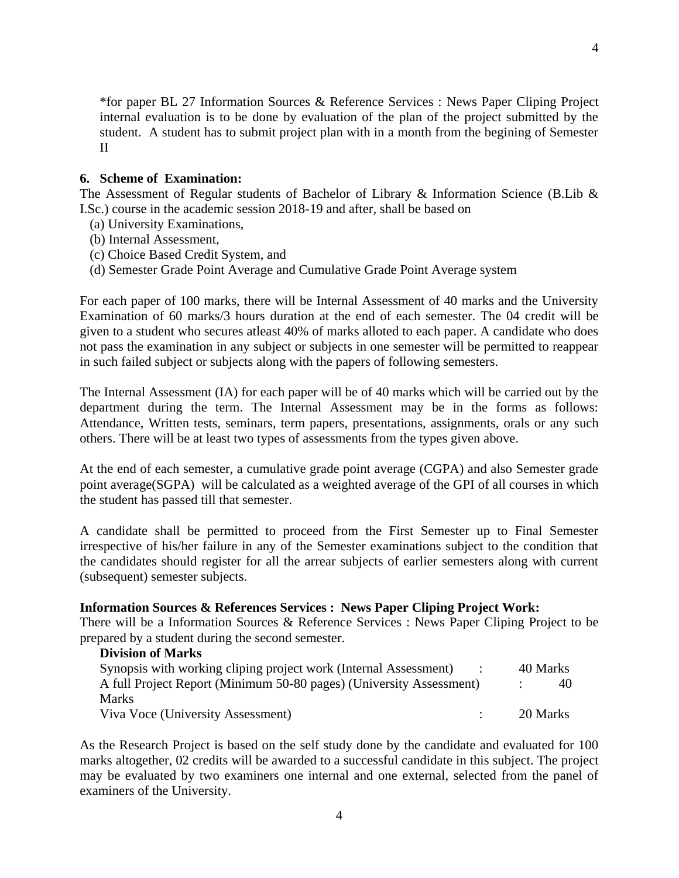\*for paper BL 27 Information Sources & Reference Services : News Paper Cliping Project internal evaluation is to be done by evaluation of the plan of the project submitted by the student. A student has to submit project plan with in a month from the begining of Semester II

#### **6. Scheme of Examination:**

The Assessment of Regular students of Bachelor of Library & Information Science (B.Lib  $\&$ I.Sc.) course in the academic session 2018-19 and after, shall be based on

- (a) University Examinations,
- (b) Internal Assessment,
- (c) Choice Based Credit System, and
- (d) Semester Grade Point Average and Cumulative Grade Point Average system

For each paper of 100 marks, there will be Internal Assessment of 40 marks and the University Examination of 60 marks/3 hours duration at the end of each semester. The 04 credit will be given to a student who secures atleast 40% of marks alloted to each paper. A candidate who does not pass the examination in any subject or subjects in one semester will be permitted to reappear in such failed subject or subjects along with the papers of following semesters.

The Internal Assessment (IA) for each paper will be of 40 marks which will be carried out by the department during the term. The Internal Assessment may be in the forms as follows: Attendance, Written tests, seminars, term papers, presentations, assignments, orals or any such others. There will be at least two types of assessments from the types given above.

At the end of each semester, a cumulative grade point average (CGPA) and also Semester grade point average(SGPA) will be calculated as a weighted average of the GPI of all courses in which the student has passed till that semester.

A candidate shall be permitted to proceed from the First Semester up to Final Semester irrespective of his/her failure in any of the Semester examinations subject to the condition that the candidates should register for all the arrear subjects of earlier semesters along with current (subsequent) semester subjects.

#### **Information Sources & References Services : News Paper Cliping Project Work:**

There will be a Information Sources & Reference Services : News Paper Cliping Project to be prepared by a student during the second semester.

| <b>Division of Marks</b>                                            |          |  |
|---------------------------------------------------------------------|----------|--|
| Synopsis with working cliping project work (Internal Assessment)    | 40 Marks |  |
| A full Project Report (Minimum 50-80 pages) (University Assessment) |          |  |
| <b>Marks</b>                                                        |          |  |
| Viva Voce (University Assessment)                                   | 20 Marks |  |

As the Research Project is based on the self study done by the candidate and evaluated for 100 marks altogether, 02 credits will be awarded to a successful candidate in this subject. The project may be evaluated by two examiners one internal and one external, selected from the panel of examiners of the University.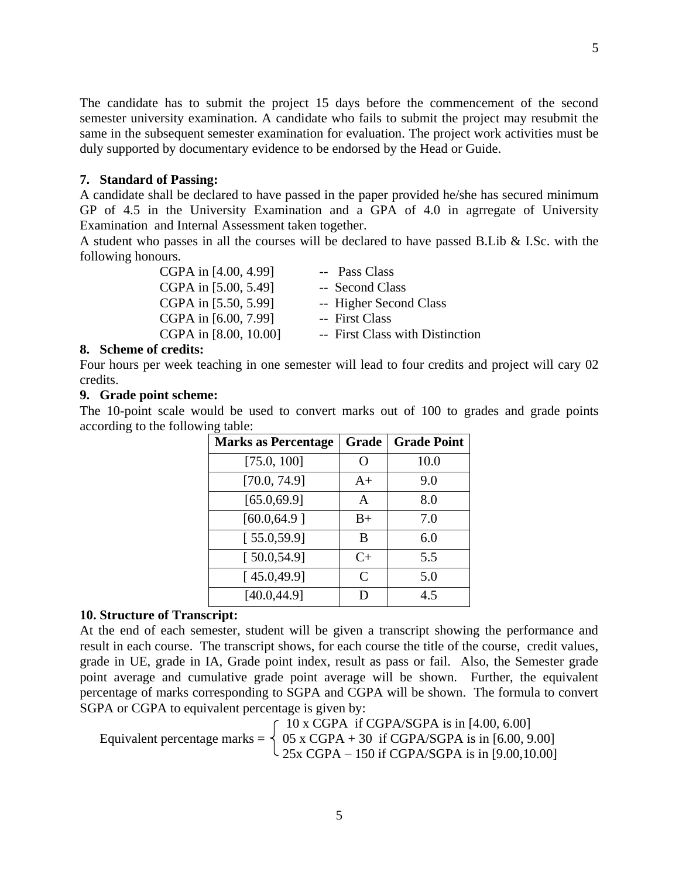The candidate has to submit the project 15 days before the commencement of the second semester university examination. A candidate who fails to submit the project may resubmit the same in the subsequent semester examination for evaluation. The project work activities must be duly supported by documentary evidence to be endorsed by the Head or Guide.

#### **7. Standard of Passing:**

A candidate shall be declared to have passed in the paper provided he/she has secured minimum GP of 4.5 in the University Examination and a GPA of 4.0 in agrregate of University Examination and Internal Assessment taken together.

A student who passes in all the courses will be declared to have passed B.Lib  $&$  I.Sc. with the following honours.

| CGPA in [4.00, 4.99]  | -- Pass Class                   |
|-----------------------|---------------------------------|
| CGPA in [5.00, 5.49]  | -- Second Class                 |
| CGPA in [5.50, 5.99]  | -- Higher Second Class          |
| CGPA in [6.00, 7.99]  | -- First Class                  |
| CGPA in [8.00, 10.00] | -- First Class with Distinction |

#### **8. Scheme of credits:**

Four hours per week teaching in one semester will lead to four credits and project will cary 02 credits.

#### **9. Grade point scheme:**

The 10-point scale would be used to convert marks out of 100 to grades and grade points according to the following table:

| <b>Marks as Percentage</b> | Grade         | <b>Grade Point</b> |
|----------------------------|---------------|--------------------|
| [75.0, 100]                | O             | 10.0               |
| [70.0, 74.9]               | $A+$          | 9.0                |
| [65.0, 69.9]               | A             | 8.0                |
| [60.0, 64.9]               | $B+$          | 7.0                |
| [55.0, 59.9]               | B             | 6.0                |
| [50.0, 54.9]               | $C+$          | 5.5                |
| [45.0, 49.9]               | $\mathcal{C}$ | 5.0                |
| [40.0, 44.9]               | D             | 4.5                |

#### **10. Structure of Transcript:**

At the end of each semester, student will be given a transcript showing the performance and result in each course. The transcript shows, for each course the title of the course, credit values, grade in UE, grade in IA, Grade point index, result as pass or fail. Also, the Semester grade point average and cumulative grade point average will be shown. Further, the equivalent percentage of marks corresponding to SGPA and CGPA will be shown. The formula to convert SGPA or CGPA to equivalent percentage is given by:

 $\int$  10 x CGPA if CGPA/SGPA is in [4.00, 6.00] Equivalent percentage marks =  $\begin{cases} 05 \times \text{CGPA} + 30 \text{ if CGPA/SGPA is in } [6.00, 9.00] \end{cases}$  $\frac{25x \text{ CGPA} - 150 \text{ if CGPA/SGPA is in } [9.00, 10.00]}{25x \text{ CGPA}}$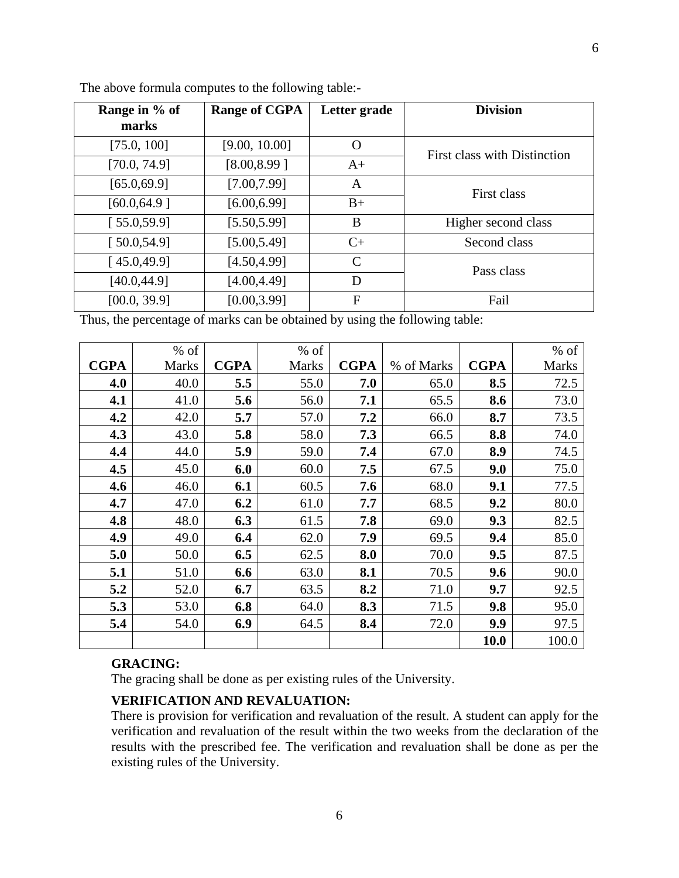| Range in % of | <b>Range of CGPA</b> | Letter grade  | <b>Division</b>                     |
|---------------|----------------------|---------------|-------------------------------------|
| marks         |                      |               |                                     |
| [75.0, 100]   | [9.00, 10.00]        | O             | <b>First class with Distinction</b> |
| [70.0, 74.9]  | [8.00, 8.99]         | $A+$          |                                     |
| [65.0, 69.9]  | [7.00, 7.99]         | A             | First class                         |
| [60.0, 64.9]  | [6.00, 6.99]         | $B+$          |                                     |
| [55.0, 59.9]  | [5.50, 5.99]         | B             | Higher second class                 |
| [50.0, 54.9]  | [5.00, 5.49]         | $C+$          | Second class                        |
| [45.0, 49.9]  | [4.50, 4.99]         | $\mathcal{C}$ | Pass class                          |
| [40.0, 44.9]  | [4.00, 4.49]         | D             |                                     |
| [00.0, 39.9]  | [0.00, 3.99]         | F             | Fail                                |

The above formula computes to the following table:-

Thus, the percentage of marks can be obtained by using the following table:

|             | $%$ of       |             | $%$ of       |             |            |             | $%$ of       |
|-------------|--------------|-------------|--------------|-------------|------------|-------------|--------------|
| <b>CGPA</b> | <b>Marks</b> | <b>CGPA</b> | <b>Marks</b> | <b>CGPA</b> | % of Marks | <b>CGPA</b> | <b>Marks</b> |
| 4.0         | 40.0         | 5.5         | 55.0         | 7.0         | 65.0       | 8.5         | 72.5         |
| 4.1         | 41.0         | 5.6         | 56.0         | 7.1         | 65.5       | 8.6         | 73.0         |
| 4.2         | 42.0         | 5.7         | 57.0         | 7.2         | 66.0       | 8.7         | 73.5         |
| 4.3         | 43.0         | 5.8         | 58.0         | 7.3         | 66.5       | 8.8         | 74.0         |
| 4.4         | 44.0         | 5.9         | 59.0         | 7.4         | 67.0       | 8.9         | 74.5         |
| 4.5         | 45.0         | 6.0         | 60.0         | 7.5         | 67.5       | 9.0         | 75.0         |
| 4.6         | 46.0         | 6.1         | 60.5         | 7.6         | 68.0       | 9.1         | 77.5         |
| 4.7         | 47.0         | 6.2         | 61.0         | 7.7         | 68.5       | 9.2         | 80.0         |
| 4.8         | 48.0         | 6.3         | 61.5         | 7.8         | 69.0       | 9.3         | 82.5         |
| 4.9         | 49.0         | 6.4         | 62.0         | 7.9         | 69.5       | 9.4         | 85.0         |
| 5.0         | 50.0         | 6.5         | 62.5         | 8.0         | 70.0       | 9.5         | 87.5         |
| 5.1         | 51.0         | 6.6         | 63.0         | 8.1         | 70.5       | 9.6         | 90.0         |
| 5.2         | 52.0         | 6.7         | 63.5         | 8.2         | 71.0       | 9.7         | 92.5         |
| 5.3         | 53.0         | 6.8         | 64.0         | 8.3         | 71.5       | 9.8         | 95.0         |
| 5.4         | 54.0         | 6.9         | 64.5         | 8.4         | 72.0       | 9.9         | 97.5         |
|             |              |             |              |             |            | 10.0        | 100.0        |

# **GRACING:**

The gracing shall be done as per existing rules of the University.

#### **VERIFICATION AND REVALUATION:**

There is provision for verification and revaluation of the result. A student can apply for the verification and revaluation of the result within the two weeks from the declaration of the results with the prescribed fee. The verification and revaluation shall be done as per the existing rules of the University.